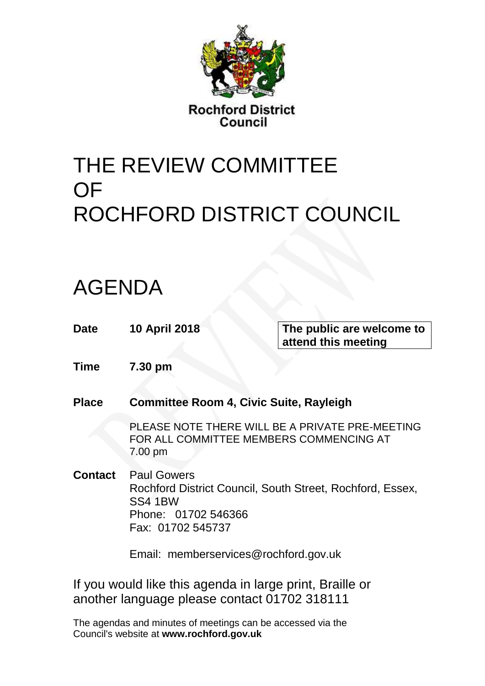

**Rochford District** Council

# THE REVIEW COMMITTEE **OF** ROCHFORD DISTRICT COUNCIL

## AGENDA

| Date    | <b>10 April 2018</b>                                                             | The public are welcome to<br>attend this meeting                                           |  |
|---------|----------------------------------------------------------------------------------|--------------------------------------------------------------------------------------------|--|
| Time    | 7.30 pm                                                                          |                                                                                            |  |
| Place   | <b>Committee Room 4, Civic Suite, Rayleigh</b>                                   |                                                                                            |  |
|         | 7.00 pm                                                                          | PLEASE NOTE THERE WILL BE A PRIVATE PRE-MEETING<br>FOR ALL COMMITTEE MEMBERS COMMENCING AT |  |
| Contact | <b>Paul Gowers</b><br><b>SS4 1BW</b><br>Phone: 01702 546366<br>Fax: 01702 545737 | Rochford District Council, South Street, Rochford, Essex,                                  |  |
|         | Email: memberservices@rochford.gov.uk                                            |                                                                                            |  |

If you would like this agenda in large print, Braille or another language please contact 01702 318111

The agendas and minutes of meetings can be accessed via the Council's website at **[www.rochford.gov.uk](http://www.rochford.gov.uk/)**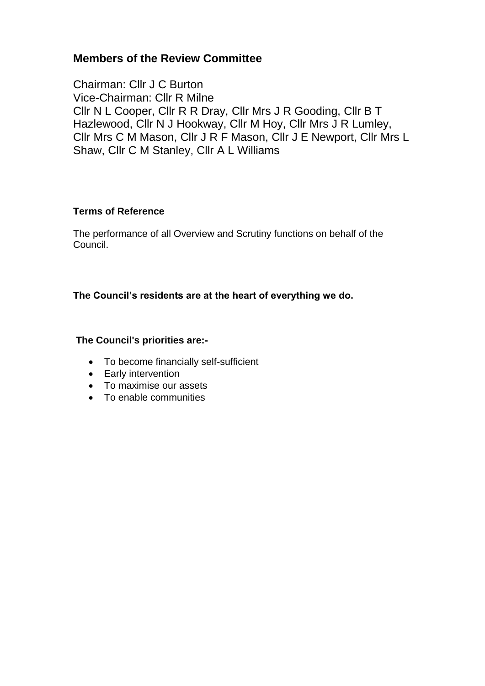#### **Members of the Review Committee**

Chairman: Cllr J C Burton Vice-Chairman: Cllr R Milne Cllr N L Cooper, Cllr R R Dray, Cllr Mrs J R Gooding, Cllr B T Hazlewood, Cllr N J Hookway, Cllr M Hoy, Cllr Mrs J R Lumley, Cllr Mrs C M Mason, Cllr J R F Mason, Cllr J E Newport, Cllr Mrs L Shaw, Cllr C M Stanley, Cllr A L Williams

#### **Terms of Reference**

The performance of all Overview and Scrutiny functions on behalf of the Council.

#### **The Council's residents are at the heart of everything we do.**

#### **The Council's priorities are:-**

- To become financially self-sufficient
- Early intervention
- To maximise our assets
- To enable communities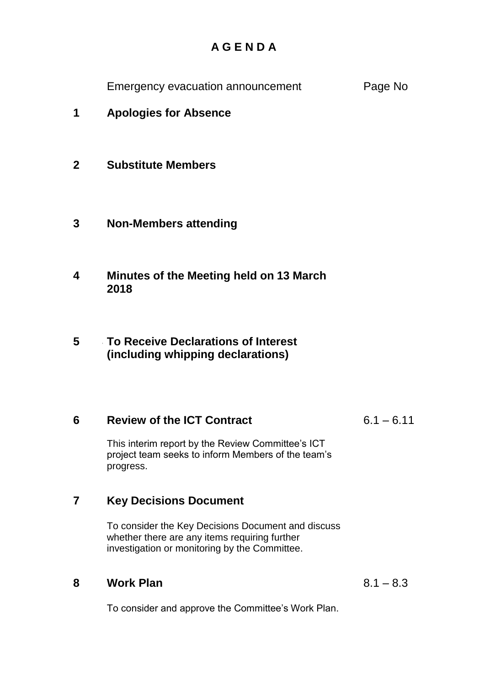### **A G E N D A**

Emergency evacuation announcement Page No

- **1** 1**Apologies for Absence**
- **2 Substitute Members**
- **3 2Non-Members attending**
- **4 3Minutes of the Meeting held on 13 March 2018**
- **5 4To Receive Declarations of Interest (including whipping declarations)**

#### **6 5Review of the ICT Contract**

 $6.1 - 6.11$ 

This interim report by the Review Committee's ICT project team seeks to inform Members of the team's progress.

#### **7 7Key Decisions Document**

To consider the Key Decisions Document and discuss whether there are any items requiring further investigation or monitoring by the Committee.

#### **8 8Work Plan**

 $8.1 - 8.3$ 

To consider and approve the Committee's Work Plan.